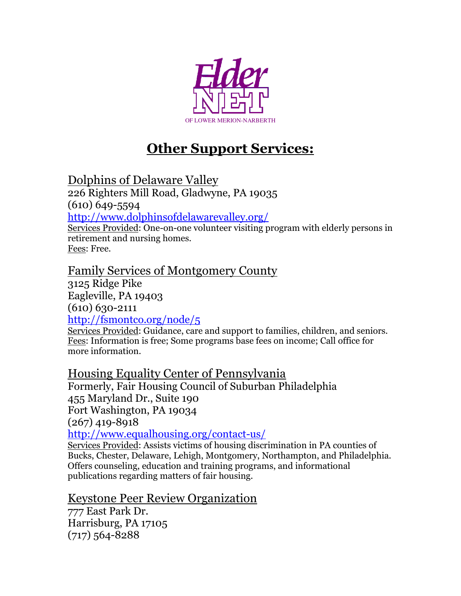

# **Other Support Services:**

Dolphins of Delaware Valley

226 Righters Mill Road, Gladwyne, PA 19035 (610) 649-5594

<http://www.dolphinsofdelawarevalley.org/>

Services Provided: One-on-one volunteer visiting program with elderly persons in retirement and nursing homes. Fees: Free.

# Family Services of Montgomery County

3125 Ridge Pike Eagleville, PA 19403 (610) 630-2111

<http://fsmontco.org/node/5>

Services Provided: Guidance, care and support to families, children, and seniors. Fees: Information is free; Some programs base fees on income; Call office for more information.

Housing Equality Center of Pennsylvania Formerly, Fair Housing Council of Suburban Philadelphia 455 Maryland Dr., Suite 190 Fort Washington, PA 19034 (267) 419-8918 <http://www.equalhousing.org/contact-us/> Services Provided: Assists victims of housing discrimination in PA counties of

Bucks, Chester, Delaware, Lehigh, Montgomery, Northampton, and Philadelphia. Offers counseling, education and training programs, and informational publications regarding matters of fair housing.

Keystone Peer Review Organization

777 East Park Dr. Harrisburg, PA 17105 (717) 564-8288